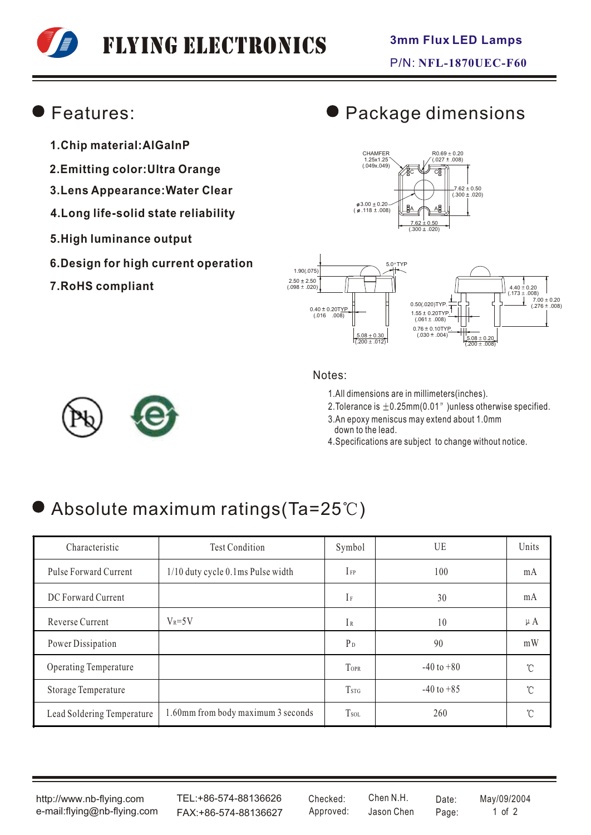# Flying Electronics

#### Features:

- **1.Chip material:AlGaInP**
- **2.Emitting color:Ultra Orange**
- **3.Lens Appearance:Water Clear**
- **4.Long life-solid state reliability**
- **5.High luminance output**
- **6.Design for high current operation**
- **7.RoHS compliant**

### Package dimensions





#### Notes:

1.All dimensions are in millimeters(inches).

2. Tolerance is  $\pm 0.25$ mm(0.01") unless otherwise specified.

- 3.An epoxy meniscus may extend about 1.0mm down to the lead.
- 4.Specifications are subject to change without notice.

## Absolute maximum ratings(Ta=25°C)

| Characteristic             | <b>Test Condition</b>              | Symbol                  | UE             | Units   |
|----------------------------|------------------------------------|-------------------------|----------------|---------|
| Pulse Forward Current      | 1/10 duty cycle 0.1ms Pulse width  | $I_{FP}$                | 100            | mA      |
| DC Forward Current         |                                    | $I_{F}$                 | 30             | mA      |
| Reverse Current            | $V_R = 5V$                         | $\mathbb{I}$ R          | 10             | $\mu A$ |
| Power Dissipation          |                                    | P <sub>D</sub>          | 90             | mW      |
| Operating Temperature      |                                    | <b>TOPR</b>             | $-40$ to $+80$ | °C      |
| Storage Temperature        |                                    | <b>T</b> <sub>STG</sub> | $-40$ to $+85$ | °C      |
| Lead Soldering Temperature | 1.60mm from body maximum 3 seconds | <b>T</b> sol            | 260            | U       |

http://www.nb-flying.com e-mail:flying@nb-flying.com

TEL:+86-574-88136626 FAX:+86-574-88136627 Approved: Jason Chen Page: 1 of 2

Jason Chen Checked: Chen N.H. Date: May/09/2004